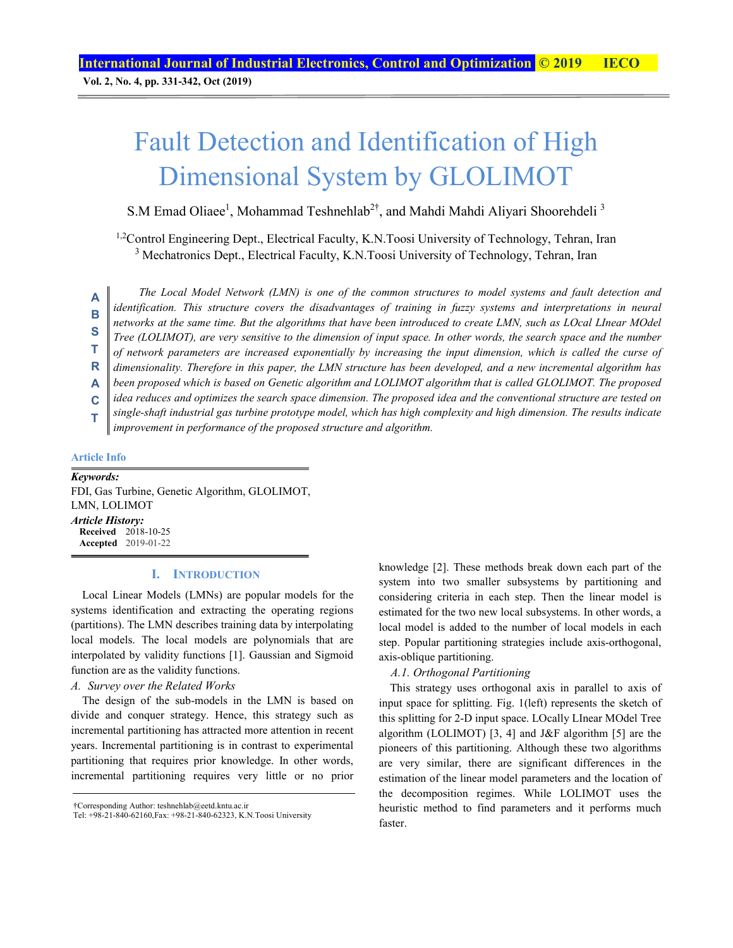# Fault Detection and Identification of High Dimensional System by GLOLIMOT

S.M Emad Oliaee<sup>1</sup>, Mohammad Teshnehlab<sup>2†</sup>, and Mahdi Mahdi Aliyari Shoorehdeli<sup>3</sup>

<sup>1,2</sup>Control Engineering Dept., Electrical Faculty, K.N.Toosi University of Technology, Tehran, Iran <sup>3</sup> Mechatronics Dept., Electrical Faculty, K.N.Toosi University of Technology, Tehran, Iran

*The Local Model Network (LMN) is one of the common structures to model systems and fault detection and identification. This structure covers the disadvantages of training in fuzzy systems and interpretations in neural networks at the same time. But the algorithms that have been introduced to create LMN, such as LOcal LInear MOdel Tree (LOLIMOT), are very sensitive to the dimension of input space. In other words, the search space and the number of network parameters are increased exponentially by increasing the input dimension, which is called the curse of dimensionality. Therefore in this paper, the LMN structure has been developed, and a new incremental algorithm has been proposed which is based on Genetic algorithm and LOLIMOT algorithm that is called GLOLIMOT. The proposed idea reduces and optimizes the search space dimension. The proposed idea and the conventional structure are tested on single-shaft industrial gas turbine prototype model, which has high complexity and high dimension. The results indicate improvement in performance of the proposed structure and algorithm.*  **A B S T R A C T** 

#### **Article Info**

*Keywords:*  FDI, Gas Turbine, Genetic Algorithm, GLOLIMOT, LMN, LOLIMOT *Article History:*  **Received** 2018-10-25 **Accepted** 2019-01-22

## **I. INTRODUCTION**

Local Linear Models (LMNs) are popular models for the systems identification and extracting the operating regions (partitions). The LMN describes training data by interpolating local models. The local models are polynomials that are interpolated by validity functions [1]. Gaussian and Sigmoid function are as the validity functions.

#### *A. Survey over the Related Works*

The design of the sub-models in the LMN is based on divide and conquer strategy. Hence, this strategy such as incremental partitioning has attracted more attention in recent years. Incremental partitioning is in contrast to experimental partitioning that requires prior knowledge. In other words, incremental partitioning requires very little or no prior knowledge [2]. These methods break down each part of the system into two smaller subsystems by partitioning and considering criteria in each step. Then the linear model is estimated for the two new local subsystems. In other words, a local model is added to the number of local models in each step. Popular partitioning strategies include axis-orthogonal, axis-oblique partitioning.

## *A.1. Orthogonal Partitioning*

This strategy uses orthogonal axis in parallel to axis of input space for splitting. Fig. 1(left) represents the sketch of this splitting for 2-D input space. LOcally LInear MOdel Tree algorithm (LOLIMOT) [3, 4] and J&F algorithm [5] are the pioneers of this partitioning. Although these two algorithms are very similar, there are significant differences in the estimation of the linear model parameters and the location of the decomposition regimes. While LOLIMOT uses the heuristic method to find parameters and it performs much faster.

<sup>†</sup>Corresponding Author: teshnehlab@eetd.kntu.ac.ir

Tel: +98-21-840-62160,Fax: +98-21-840-62323, K.N.Toosi University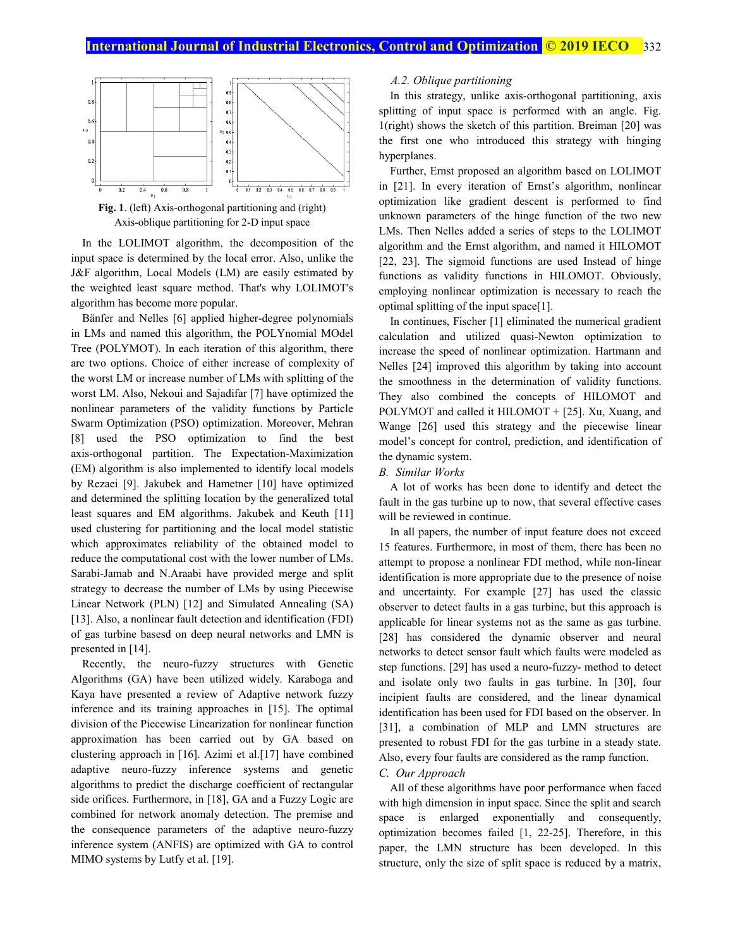



In the LOLIMOT algorithm, the decomposition of the input space is determined by the local error. Also, unlike the J&F algorithm, Local Models (LM) are easily estimated by the weighted least square method. That's why LOLIMOT's algorithm has become more popular.

Bänfer and Nelles [6] applied higher-degree polynomials in LMs and named this algorithm, the POLYnomial MOdel Tree (POLYMOT). In each iteration of this algorithm, there are two options. Choice of either increase of complexity of the worst LM or increase number of LMs with splitting of the worst LM. Also, Nekoui and Sajadifar [7] have optimized the nonlinear parameters of the validity functions by Particle Swarm Optimization (PSO) optimization. Moreover, Mehran [8] used the PSO optimization to find the best axis-orthogonal partition. The Expectation-Maximization (EM) algorithm is also implemented to identify local models by Rezaei [9]. Jakubek and Hametner [10] have optimized and determined the splitting location by the generalized total least squares and EM algorithms. Jakubek and Keuth [11] used clustering for partitioning and the local model statistic which approximates reliability of the obtained model to reduce the computational cost with the lower number of LMs. Sarabi-Jamab and N.Araabi have provided merge and split strategy to decrease the number of LMs by using Piecewise Linear Network (PLN) [12] and Simulated Annealing (SA) [13]. Also, a nonlinear fault detection and identification (FDI) of gas turbine basesd on deep neural networks and LMN is presented in [14].

Recently, the neuro-fuzzy structures with Genetic Algorithms (GA) have been utilized widely. Karaboga and Kaya have presented a review of Adaptive network fuzzy inference and its training approaches in [15]. The optimal division of the Piecewise Linearization for nonlinear function approximation has been carried out by GA based on clustering approach in [16]. Azimi et al.[17] have combined adaptive neuro-fuzzy inference systems and genetic algorithms to predict the discharge coefficient of rectangular side orifices. Furthermore, in [18], GA and a Fuzzy Logic are combined for network anomaly detection. The premise and the consequence parameters of the adaptive neuro-fuzzy inference system (ANFIS) are optimized with GA to control MIMO systems by Lutfy et al. [19].

#### *A.2. Oblique partitioning*

In this strategy, unlike axis-orthogonal partitioning, axis splitting of input space is performed with an angle. Fig. 1(right) shows the sketch of this partition. Breiman [20] was the first one who introduced this strategy with hinging hyperplanes.

Further, Ernst proposed an algorithm based on LOLIMOT in [21]. In every iteration of Ernst's algorithm, nonlinear optimization like gradient descent is performed to find unknown parameters of the hinge function of the two new LMs. Then Nelles added a series of steps to the LOLIMOT algorithm and the Ernst algorithm, and named it HILOMOT [22, 23]. The sigmoid functions are used Instead of hinge functions as validity functions in HILOMOT. Obviously, employing nonlinear optimization is necessary to reach the optimal splitting of the input space[1].

In continues, Fischer [1] eliminated the numerical gradient calculation and utilized quasi-Newton optimization to increase the speed of nonlinear optimization. Hartmann and Nelles [24] improved this algorithm by taking into account the smoothness in the determination of validity functions. They also combined the concepts of HILOMOT and POLYMOT and called it HILOMOT + [25]. Xu, Xuang, and Wange [26] used this strategy and the piecewise linear model's concept for control, prediction, and identification of the dynamic system.

#### *B. Similar Works*

A lot of works has been done to identify and detect the fault in the gas turbine up to now, that several effective cases will be reviewed in continue.

In all papers, the number of input feature does not exceed 15 features. Furthermore, in most of them, there has been no attempt to propose a nonlinear FDI method, while non-linear identification is more appropriate due to the presence of noise and uncertainty. For example [27] has used the classic observer to detect faults in a gas turbine, but this approach is applicable for linear systems not as the same as gas turbine. [28] has considered the dynamic observer and neural networks to detect sensor fault which faults were modeled as step functions. [29] has used a neuro-fuzzy- method to detect and isolate only two faults in gas turbine. In [30], four incipient faults are considered, and the linear dynamical identification has been used for FDI based on the observer. In [31], a combination of MLP and LMN structures are presented to robust FDI for the gas turbine in a steady state. Also, every four faults are considered as the ramp function. *C. Our Approach* 

All of these algorithms have poor performance when faced with high dimension in input space. Since the split and search space is enlarged exponentially and consequently, optimization becomes failed [1, 22-25]. Therefore, in this paper, the LMN structure has been developed. In this structure, only the size of split space is reduced by a matrix,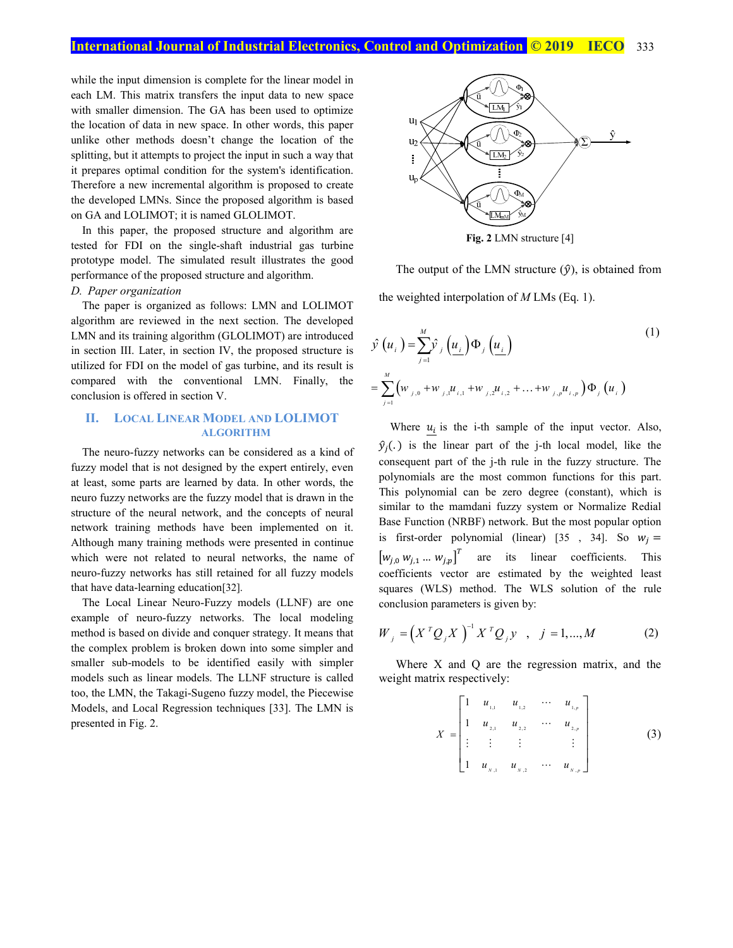while the input dimension is complete for the linear model in each LM. This matrix transfers the input data to new space with smaller dimension. The GA has been used to optimize the location of data in new space. In other words, this paper unlike other methods doesn't change the location of the splitting, but it attempts to project the input in such a way that it prepares optimal condition for the system's identification. Therefore a new incremental algorithm is proposed to create the developed LMNs. Since the proposed algorithm is based on GA and LOLIMOT; it is named GLOLIMOT.

In this paper, the proposed structure and algorithm are tested for FDI on the single-shaft industrial gas turbine prototype model. The simulated result illustrates the good performance of the proposed structure and algorithm.

## *D. Paper organization*

The paper is organized as follows: LMN and LOLIMOT algorithm are reviewed in the next section. The developed LMN and its training algorithm (GLOLIMOT) are introduced in section III. Later, in section IV, the proposed structure is utilized for FDI on the model of gas turbine, and its result is compared with the conventional LMN. Finally, the conclusion is offered in section V.

## **II. LOCAL LINEAR MODEL AND LOLIMOT ALGORITHM**

The neuro-fuzzy networks can be considered as a kind of fuzzy model that is not designed by the expert entirely, even at least, some parts are learned by data. In other words, the neuro fuzzy networks are the fuzzy model that is drawn in the structure of the neural network, and the concepts of neural network training methods have been implemented on it. Although many training methods were presented in continue which were not related to neural networks, the name of neuro-fuzzy networks has still retained for all fuzzy models that have data-learning education[32].

The Local Linear Neuro-Fuzzy models (LLNF) are one example of neuro-fuzzy networks. The local modeling method is based on divide and conquer strategy. It means that the complex problem is broken down into some simpler and smaller sub-models to be identified easily with simpler models such as linear models. The LLNF structure is called too, the LMN, the Takagi-Sugeno fuzzy model, the Piecewise Models, and Local Regression techniques [33]. The LMN is presented in Fig. 2.



**Fig. 2** LMN structure [4]

The output of the LMN structure  $(\hat{y})$ , is obtained from the weighted interpolation of *M* LMs (Eq. 1).

$$
\hat{y}(u_i) = \sum_{j=1}^{M} \hat{y}_j(u_i) \Phi_j(u_i)
$$
\n
$$
= \sum_{j=1}^{M} (w_{j,0} + w_{j,1}u_{i,1} + w_{j,2}u_{i,2} + ... + w_{j,p}u_{i,p}) \Phi_j(u_i)
$$
\n(1)

Where  $u_i$  is the i-th sample of the input vector. Also,  $\hat{y}_i(.)$  is the linear part of the j-th local model, like the consequent part of the j-th rule in the fuzzy structure. The polynomials are the most common functions for this part. This polynomial can be zero degree (constant), which is similar to the mamdani fuzzy system or Normalize Redial Base Function (NRBF) network. But the most popular option is first-order polynomial (linear) [35 , 34]. So  $w_i =$  $\left[w_{i,0} \, w_{i,1} \, ... \, w_{i,p}\right]^T$  are its linear coefficients. This coefficients vector are estimated by the weighted least squares (WLS) method. The WLS solution of the rule conclusion parameters is given by:

$$
W_{j} = (X^{T} Q_{j} X)^{-1} X^{T} Q_{j} y, \quad j = 1,...,M
$$
 (2)

Where X and Q are the regression matrix, and the weight matrix respectively:

$$
X = \begin{bmatrix} 1 & u_{1,1} & u_{1,2} & \cdots & u_{1,p} \\ 1 & u_{2,1} & u_{2,2} & \cdots & u_{2,p} \\ \vdots & \vdots & \vdots & & \vdots \\ 1 & u_{N,1} & u_{N,2} & \cdots & u_{N,p} \end{bmatrix}
$$
(3)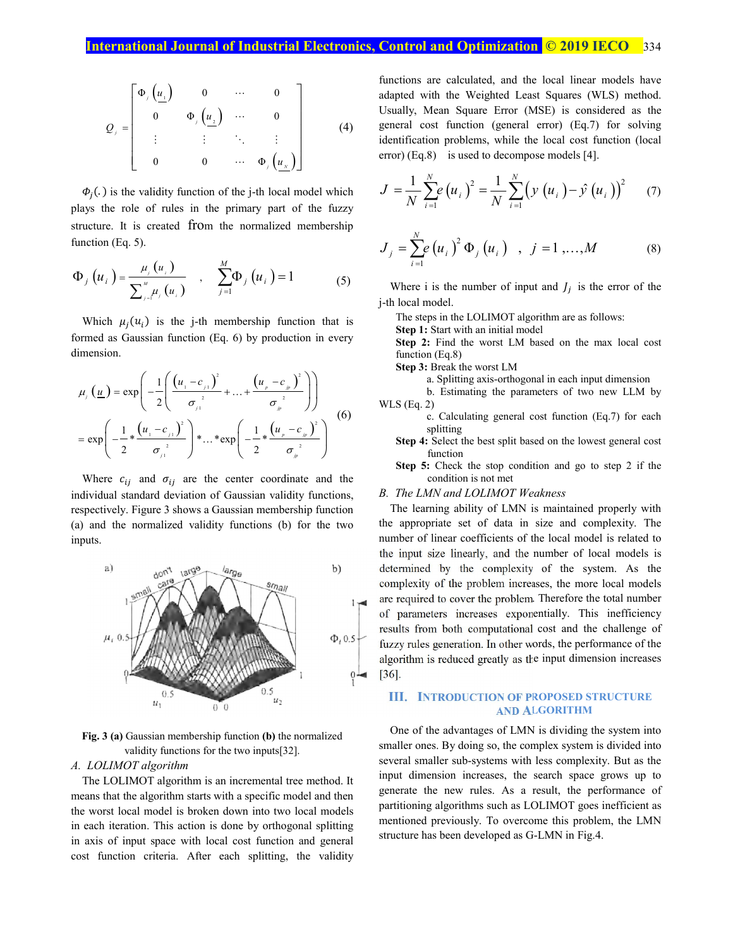$$
Q_{j} = \begin{bmatrix} \Phi_{j} \left( \underline{u}_{1} \right) & 0 & \cdots & 0 \\ 0 & \Phi_{j} \left( \underline{u}_{2} \right) & \cdots & 0 \\ \vdots & \vdots & \ddots & \vdots \\ 0 & 0 & \cdots & \Phi_{j} \left( \underline{u}_{N} \right) \end{bmatrix}
$$
 (4)

 $\Phi_i(.)$  is the validity function of the j-th local model which plays the role of rules in the primary part of the fuzzy structure. It is created from the normalized membership function (Eq. 5).

$$
\Phi_{j}\left(u_{i}\right) = \frac{\mu_{j}\left(u_{i}\right)}{\sum_{j=1}^{M} \mu_{j}\left(u_{i}\right)} , \quad \sum_{j=1}^{M} \Phi_{j}\left(u_{i}\right) = 1
$$
 (5)

Which  $\mu_i(u_i)$  is the j-th membership function that is formed as Gaussian function (Eq. 6) by production in every dimension.

$$
\mu_{j}(\underline{u}) = \exp\left(-\frac{1}{2}\left(\frac{(u_{1} - c_{j_{1}})^{2}}{\sigma_{j_{1}}^{2}} + ... + \frac{(u_{p} - c_{p})^{2}}{\sigma_{j_{p}}^{2}}\right)\right)
$$
  
= 
$$
\exp\left(-\frac{1}{2} * \frac{(u_{1} - c_{j_{1}})^{2}}{\sigma_{j_{1}}^{2}}\right) * ... * \exp\left(-\frac{1}{2} * \frac{(u_{p} - c_{p})^{2}}{\sigma_{j_{p}}^{2}}\right)
$$
(6)

Where  $c_{ij}$  and  $\sigma_{ij}$  are the center coordinate and the individual standard deviation of Gaussian validity functions, respectively. Figure 3 shows a Gaussian membership function (a) and the normalized validity functions (b) for the two inputs.



**Fig. 3 (a)** Gaussian membership function **(b)** the normalized validity functions for the two inputs[32].

## *A. LOLIMOT algorithm*

The LOLIMOT algorithm is an incremental tree method. It means that the algorithm starts with a specific model and then the worst local model is broken down into two local models in each iteration. This action is done by orthogonal splitting in axis of input space with local cost function and general cost function criteria. After each splitting, the validity functions are calculated, and the local linear models have adapted with the Weighted Least Squares (WLS) method. Usually, Mean Square Error (MSE) is considered as the general cost function (general error) (Eq.7) for solving identification problems, while the local cost function (local error) (Eq.8) is used to decompose models [4].

$$
J = \frac{1}{N} \sum_{i=1}^{N} e(u_i)^2 = \frac{1}{N} \sum_{i=1}^{N} (y(u_i) - \hat{y}(u_i))^2
$$
 (7)

$$
J_{j} = \sum_{i=1}^{N} e(u_{i})^{2} \Phi_{j}(u_{i}) , j = 1,...,M
$$
 (8)

Where i is the number of input and  $J_i$  is the error of the j-th local model.

The steps in the LOLIMOT algorithm are as follows:

**Step 1:** Start with an initial model

**Step 2:** Find the worst LM based on the max local cost function (Eq.8)

**Step 3:** Break the worst LM

a. Splitting axis-orthogonal in each input dimension

b. Estimating the parameters of two new LLM by WLS (Eq. 2)

- c. Calculating general cost function (Eq.7) for each splitting
- **Step 4:** Select the best split based on the lowest general cost function
- **Step 5:** Check the stop condition and go to step 2 if the condition is not met

#### *B. The LMN and LOLIMOT Weakness*

The learning ability of LMN is maintained properly with the appropriate set of data in size and complexity. The number of linear coefficients of the local model is related to the input size linearly, and the number of local models is determined by the complexity of the system. As the complexity of the problem increases, the more local models are required to cover the problem. Therefore the total number of parameters increases exponentially. This inefficiency results from both computational cost and the challenge of fuzzy rules generation. In other words, the performance of the algorithm is reduced greatly as the input dimension increases [36].

## **III. INTRODUCTION OF PROPOSED STRUCTURE AND ALGORITHM**

One of the advantages of LMN is dividing the system into smaller ones. By doing so, the complex system is divided into several smaller sub-systems with less complexity. But as the input dimension increases, the search space grows up to generate the new rules. As a result, the performance of partitioning algorithms such as LOLIMOT goes inefficient as mentioned previously. To overcome this problem, the LMN structure has been developed as G-LMN in Fig.4.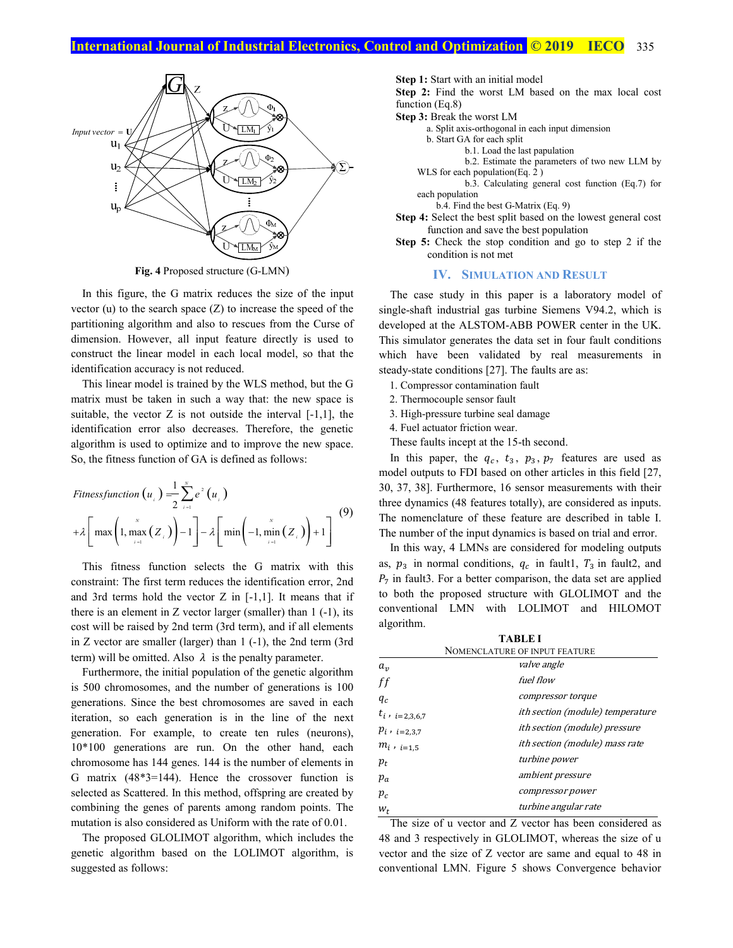

**Fig. 4** Proposed structure (G-LMN)

In this figure, the G matrix reduces the size of the input vector  $(u)$  to the search space  $(Z)$  to increase the speed of the partitioning algorithm and also to rescues from the Curse of dimension. However, all input feature directly is used to construct the linear model in each local model, so that the identification accuracy is not reduced.

This linear model is trained by the WLS method, but the G matrix must be taken in such a way that: the new space is suitable, the vector  $Z$  is not outside the interval  $[-1,1]$ , the identification error also decreases. Therefore, the genetic algorithm is used to optimize and to improve the new space. So, the fitness function of GA is defined as follows:

$$
Fitness function (ui) = \frac{1}{2} \sum_{i=1}^{N} e2 (ui)
$$
  
+  $\lambda \left[ max \left( 1, max \left( Z_{i} \right) \right) - 1 \right] - \lambda \left[ min \left( -1, min \left( Z_{i} \right) \right) + 1 \right]$ <sup>(9)</sup>

This fitness function selects the G matrix with this constraint: The first term reduces the identification error, 2nd and 3rd terms hold the vector Z in [-1,1]. It means that if there is an element in  $Z$  vector larger (smaller) than  $1$  (-1), its cost will be raised by 2nd term (3rd term), and if all elements in Z vector are smaller (larger) than 1 (-1), the 2nd term (3rd term) will be omitted. Also  $\lambda$  is the penalty parameter.

Furthermore, the initial population of the genetic algorithm is 500 chromosomes, and the number of generations is 100 generations. Since the best chromosomes are saved in each iteration, so each generation is in the line of the next generation. For example, to create ten rules (neurons), 10\*100 generations are run. On the other hand, each chromosome has 144 genes. 144 is the number of elements in G matrix (48\*3=144). Hence the crossover function is selected as Scattered. In this method, offspring are created by combining the genes of parents among random points. The mutation is also considered as Uniform with the rate of 0.01.

The proposed GLOLIMOT algorithm, which includes the genetic algorithm based on the LOLIMOT algorithm, is suggested as follows:

**Step 1:** Start with an initial model

**Step 2:** Find the worst LM based on the max local cost function (Eq.8)

**Step 3:** Break the worst LM

a. Split axis-orthogonal in each input dimension

b. Start GA for each split

b.1. Load the last papulation

b.2. Estimate the parameters of two new LLM by WLS for each population(Eq. 2 )

b.3. Calculating general cost function (Eq.7) for each population

b.4. Find the best G-Matrix (Eq. 9)

**Step 4:** Select the best split based on the lowest general cost function and save the best population

**Step 5:** Check the stop condition and go to step 2 if the condition is not met

## **IV. SIMULATION AND RESULT**

The case study in this paper is a laboratory model of single-shaft industrial gas turbine Siemens V94.2, which is developed at the ALSTOM-ABB POWER center in the UK. This simulator generates the data set in four fault conditions which have been validated by real measurements in steady-state conditions [27]. The faults are as:

- 1. Compressor contamination fault
- 2. Thermocouple sensor fault
- 3. High-pressure turbine seal damage
- 4. Fuel actuator friction wear.
- These faults incept at the 15-th second.

In this paper, the  $q_c$ ,  $t_3$ ,  $p_3$ ,  $p_7$  features are used as model outputs to FDI based on other articles in this field [27, 30, 37, 38]. Furthermore, 16 sensor measurements with their three dynamics (48 features totally), are considered as inputs. The nomenclature of these feature are described in table I. The number of the input dynamics is based on trial and error.

In this way, 4 LMNs are considered for modeling outputs as,  $p_3$  in normal conditions,  $q_c$  in fault1,  $T_3$  in fault2, and  $P_7$  in fault3. For a better comparison, the data set are applied to both the proposed structure with GLOLIMOT and the conventional LMN with LOLIMOT and HILOMOT algorithm.

| <b>TABLE I</b>      |                                         |  |  |  |  |  |  |
|---------------------|-----------------------------------------|--|--|--|--|--|--|
|                     | NOMENCLATURE OF INPUT FEATURE           |  |  |  |  |  |  |
| $a_v$               | <i>valve angle</i>                      |  |  |  |  |  |  |
| ff                  | fuel flow                               |  |  |  |  |  |  |
| $q_c$               | compressor torque                       |  |  |  |  |  |  |
| $t_i$ , $i=2,3,6,7$ | <i>ith section (module) temperature</i> |  |  |  |  |  |  |
| $p_i$ , $i=2,3,7$   | ith section (module) pressure           |  |  |  |  |  |  |
| $m_i$ , $_{i=1,5}$  | ith section (module) mass rate          |  |  |  |  |  |  |
| $p_t$               | turbine power                           |  |  |  |  |  |  |
| $p_a$               | ambient pressure                        |  |  |  |  |  |  |
| $p_{c}$             | compressor power                        |  |  |  |  |  |  |
| $W_t$               | turbine angular rate                    |  |  |  |  |  |  |

The size of u vector and Z vector has been considered as 48 and 3 respectively in GLOLIMOT, whereas the size of u vector and the size of Z vector are same and equal to 48 in conventional LMN. Figure 5 shows Convergence behavior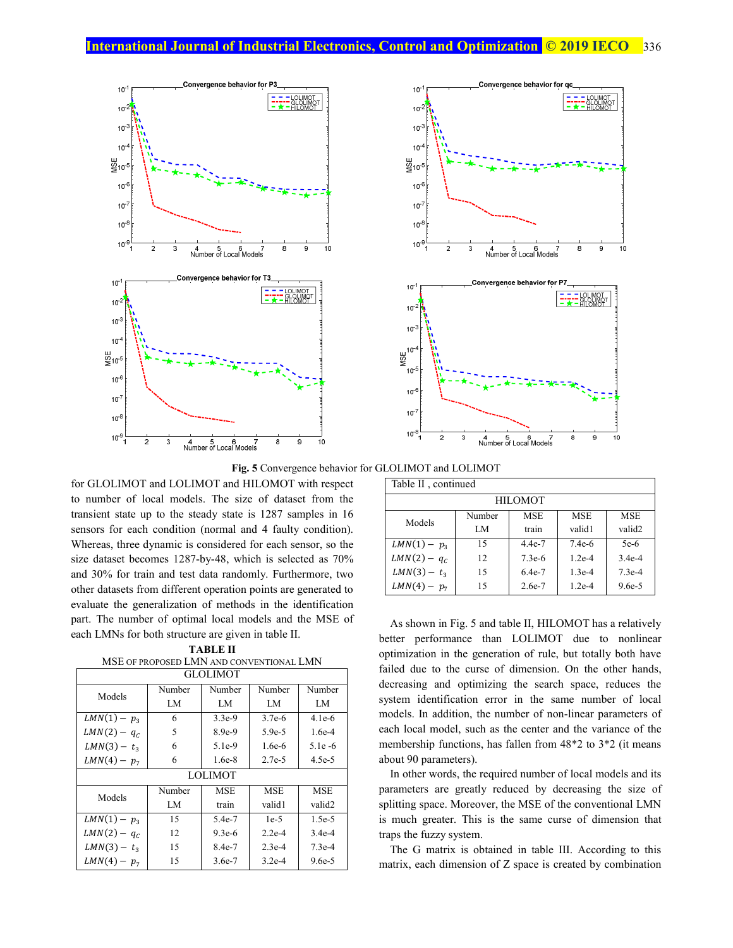



**Fig. 5** Convergence behavior for GLOLIMOT and LOLIMOT

for GLOLIMOT and LOLIMOT and HILOMOT with respect to number of local models. The size of dataset from the transient state up to the steady state is 1287 samples in 16 sensors for each condition (normal and 4 faulty condition). Whereas, three dynamic is considered for each sensor, so the size dataset becomes 1287-by-48, which is selected as 70% and 30% for train and test data randomly. Furthermore, two other datasets from different operation points are generated to evaluate the generalization of methods in the identification part. The number of optimal local models and the MSE of each LMNs for both structure are given in table II.

**TABLE II**  MSE OF PROPOSED LMN AND CONVENTIONAL LMN

| <b>GLOLIMOT</b>      |        |            |            |            |  |  |  |
|----------------------|--------|------------|------------|------------|--|--|--|
| Models               | Number | Number     | Number     | Number     |  |  |  |
|                      | LM     | LM         | LM         | LM         |  |  |  |
| $LMN(1) - p_3$       | 6      | $3.3e-9$   | $3.7e-6$   | $4.1e-6$   |  |  |  |
| $LMN(2) - q_c$       | 5      | 8.9e-9     | $5.9e-5$   | $1.6e-4$   |  |  |  |
| $LMN(3) - t_3$       | 6      | 5.1e-9     | $1.6e-6$   | $5.1e-6$   |  |  |  |
| $LMN(4) - p_7$       | 6      | $1.6e-8$   | $2.7e-5$   | $4.5e-5$   |  |  |  |
|                      |        | LOLIMOT    |            |            |  |  |  |
| Models               | Number | <b>MSE</b> | <b>MSE</b> | <b>MSE</b> |  |  |  |
|                      | LM     | train      | valid1     | valid2     |  |  |  |
| $LMN(1) - p_3$       | 15     | 5.4e-7     | $1e-5$     | $1.5e-5$   |  |  |  |
| 12<br>$LMN(2) - q_c$ |        | $9.3e-6$   | $2.2e-4$   | $3.4e-4$   |  |  |  |
| $LMN(3) - t_3$       | 15     | 8.4e-7     | $2.3e-4$   | $7.3e-4$   |  |  |  |
| $LMN(4) - p_7$       | 15     | $3.6e-7$   | $3.2e-4$   | $9.6e-5$   |  |  |  |

| Table II, continued |                |            |            |            |  |  |  |  |
|---------------------|----------------|------------|------------|------------|--|--|--|--|
|                     | <b>HILOMOT</b> |            |            |            |  |  |  |  |
| Models              | Number         | <b>MSE</b> | <b>MSE</b> | <b>MSE</b> |  |  |  |  |
|                     | LM             | train      | valid1     | valid2     |  |  |  |  |
| $LMN(1) - p_3$      | 15             | 4.4e-7     | $7.4e-6$   | $5e-6$     |  |  |  |  |
| $LMN(2) - q_c$      | 12             | $7.3e-6$   | $1.2e-4$   | $3.4e-4$   |  |  |  |  |
| $LMN(3) - t_3$      | 15             | 6.4e-7     | $1.3e-4$   | $7.3e-4$   |  |  |  |  |
| $LMN(4) - p_7$      | 15             | 2.6e-7     | $1.2e-4$   | $9.6e-5$   |  |  |  |  |

As shown in Fig. 5 and table II, HILOMOT has a relatively better performance than LOLIMOT due to nonlinear optimization in the generation of rule, but totally both have failed due to the curse of dimension. On the other hands, decreasing and optimizing the search space, reduces the system identification error in the same number of local models. In addition, the number of non-linear parameters of each local model, such as the center and the variance of the membership functions, has fallen from 48\*2 to 3\*2 (it means about 90 parameters).

In other words, the required number of local models and its parameters are greatly reduced by decreasing the size of splitting space. Moreover, the MSE of the conventional LMN is much greater. This is the same curse of dimension that traps the fuzzy system.

The G matrix is obtained in table III. According to this matrix, each dimension of Z space is created by combination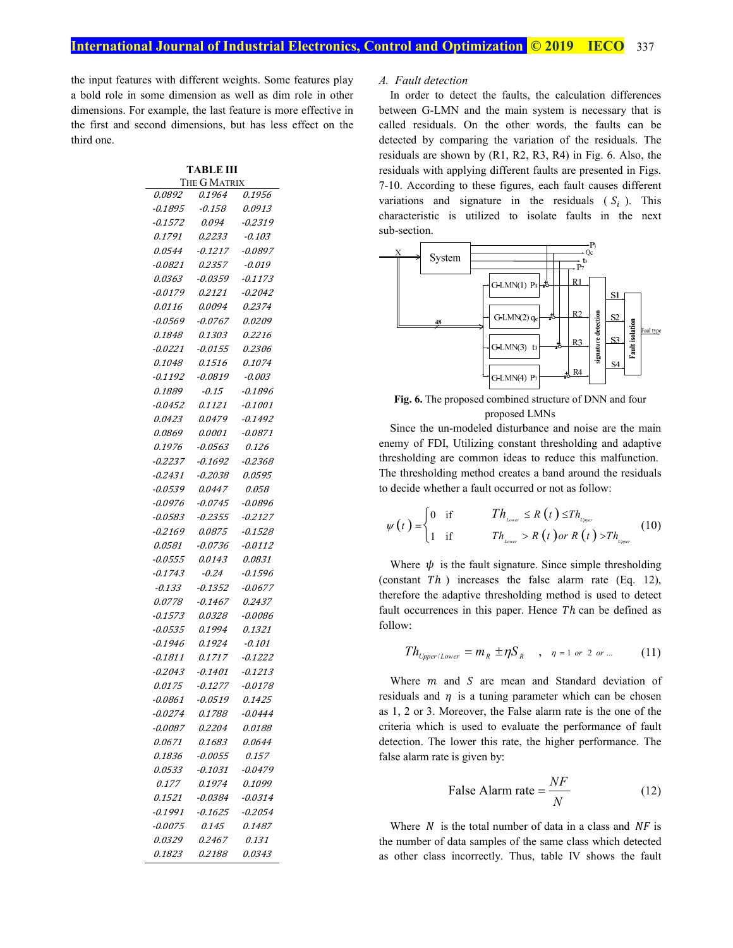the input features with different weights. Some features play a bold role in some dimension as well as dim role in other dimensions. For example, the last feature is more effective in the first and second dimensions, but has less effect on the third one.

| TABLE III<br>THE G MATRIX |                |                |  |  |  |  |
|---------------------------|----------------|----------------|--|--|--|--|
| 0.0892                    | 0.1964         | 0.1956         |  |  |  |  |
| -0.1895                   | -0.158         | 0.0913         |  |  |  |  |
| -0.1572                   | 0.094          | -0.2319        |  |  |  |  |
| 0.1791                    | <i>0.2233</i>  | -0.103         |  |  |  |  |
| 0.0544                    | <i>-0.1217</i> | -0.0897        |  |  |  |  |
| -0.0821                   | 0.2357         | -0.019         |  |  |  |  |
| 0.0363                    | $-0.0359$      | -0.1173        |  |  |  |  |
| -0.0179                   | 0.2121         | -0.2042        |  |  |  |  |
| 0.0116                    | 0.0094         | 0.2374         |  |  |  |  |
| -0.0569                   | -0.0767        | 0.0209         |  |  |  |  |
| 0.1848                    | <i>0.1303</i>  | <i>0.2216</i>  |  |  |  |  |
| $-0.0221$                 | -0.0155        | <i>0.2306</i>  |  |  |  |  |
| 0.1048                    | 0.1516         | 0.1074         |  |  |  |  |
| -0.1192                   | -0.0819        | -0.003         |  |  |  |  |
| 0.1889                    | -0.15          | -0.1896        |  |  |  |  |
| $-0.0452$                 | 0.1121         | -0.1001        |  |  |  |  |
| <i>0.0423</i>             | 0.0479         | -0.1492        |  |  |  |  |
| 0.0869                    | 0.0001         | -0.0871        |  |  |  |  |
| 0.1976                    | -0.0563        | 0.126          |  |  |  |  |
| -0.2237                   | -0.1692        | $-0.2368$      |  |  |  |  |
| -0.2431                   | -0.2038        | <i>0.0595</i>  |  |  |  |  |
| -0.0539                   | 0.0447         | 0.058          |  |  |  |  |
| -0.0976                   | $-0.0745$      | -0.0896        |  |  |  |  |
| -0.0583                   | -0.2355        | <i>-0.2127</i> |  |  |  |  |
| -0.2169                   | <i>0.0875</i>  | -0.1528        |  |  |  |  |
| <i>0.0581</i>             | -0.0736        | -0.0112        |  |  |  |  |
| -0.0555                   | 0.0143         | 0.0831         |  |  |  |  |
| -0.1743                   | -0.24          | -0.1596        |  |  |  |  |
| -0.133                    | $-0.1352$      | $-0.0677$      |  |  |  |  |
| 0.0778                    | -0.1467        | 0.2437         |  |  |  |  |
| -0.1573                   | <i>0.0328</i>  | -0.0086        |  |  |  |  |
| -0.0535                   | 0.1994         | 0.1321         |  |  |  |  |
| -0.1946                   | 0.1924         | -0.101         |  |  |  |  |
| -0.1811                   | 0.1717         | -0.1222        |  |  |  |  |
| -0.2043                   | -0.1401        | <i>-0.1213</i> |  |  |  |  |
| 0.0175                    | -0.1277        | -0.0178        |  |  |  |  |
| 0.0861                    | 0.0519         | 0.1425         |  |  |  |  |
| -0.0274                   | 0.1788         | -0.0444        |  |  |  |  |
| -0.0087                   | 0.2204         | 0.0188         |  |  |  |  |
| 0.0671                    | 0.1683         | 0.0644         |  |  |  |  |
| 0.1836                    | -0.0055        | 0.157          |  |  |  |  |
| 0.0533                    | -0.1031        | -0.0479        |  |  |  |  |
| 0.177                     | 0.1974         | 0.1099         |  |  |  |  |
| <i>0.1521</i>             | -0.0384        | -0.0314        |  |  |  |  |
| -0.1991                   | -0.1625        | -0.2054        |  |  |  |  |
| $-0.0075$                 | 0.145          | 0.1487         |  |  |  |  |
| 0.0329                    | 0.2467         | 0.131          |  |  |  |  |
| 0.1823                    | 0.2188         | 0.0343         |  |  |  |  |

#### *A. Fault detection*

In order to detect the faults, the calculation differences between G-LMN and the main system is necessary that is called residuals. On the other words, the faults can be detected by comparing the variation of the residuals. The residuals are shown by (R1, R2, R3, R4) in Fig. 6. Also, the residuals with applying different faults are presented in Figs. 7-10. According to these figures, each fault causes different variations and signature in the residuals  $(S_i)$ . This characteristic is utilized to isolate faults in the next sub-section.



**Fig. 6.** The proposed combined structure of DNN and four proposed LMNs

Since the un-modeled disturbance and noise are the main enemy of FDI, Utilizing constant thresholding and adaptive thresholding are common ideas to reduce this malfunction. The thresholding method creates a band around the residuals to decide whether a fault occurred or not as follow:

$$
\psi(t) = \begin{cases} 0 & \text{if} & Th_{\text{Lower}} \le R(t) \le Th_{\text{Upper}} \\ 1 & \text{if} & Th_{\text{Lower}} > R(t) \text{ or } R(t) > Th_{\text{Upper}} \end{cases}
$$
(10)

Where  $\psi$  is the fault signature. Since simple thresholding (constant  $Th$ ) increases the false alarm rate (Eq. 12), therefore the adaptive thresholding method is used to detect fault occurrences in this paper. Hence  $Th$  can be defined as follow:

$$
Th_{\text{Upper/Lower}} = m_R \pm \eta S_R \quad , \quad \eta = 1 \text{ or } 2 \text{ or } ... \tag{11}
$$

Where  $m$  and  $S$  are mean and Standard deviation of residuals and  $\eta$  is a tuning parameter which can be chosen as 1, 2 or 3. Moreover, the False alarm rate is the one of the criteria which is used to evaluate the performance of fault detection. The lower this rate, the higher performance. The false alarm rate is given by:

$$
False Alarm rate = \frac{NF}{N}
$$
 (12)

Where  $N$  is the total number of data in a class and  $NF$  is the number of data samples of the same class which detected as other class incorrectly. Thus, table IV shows the fault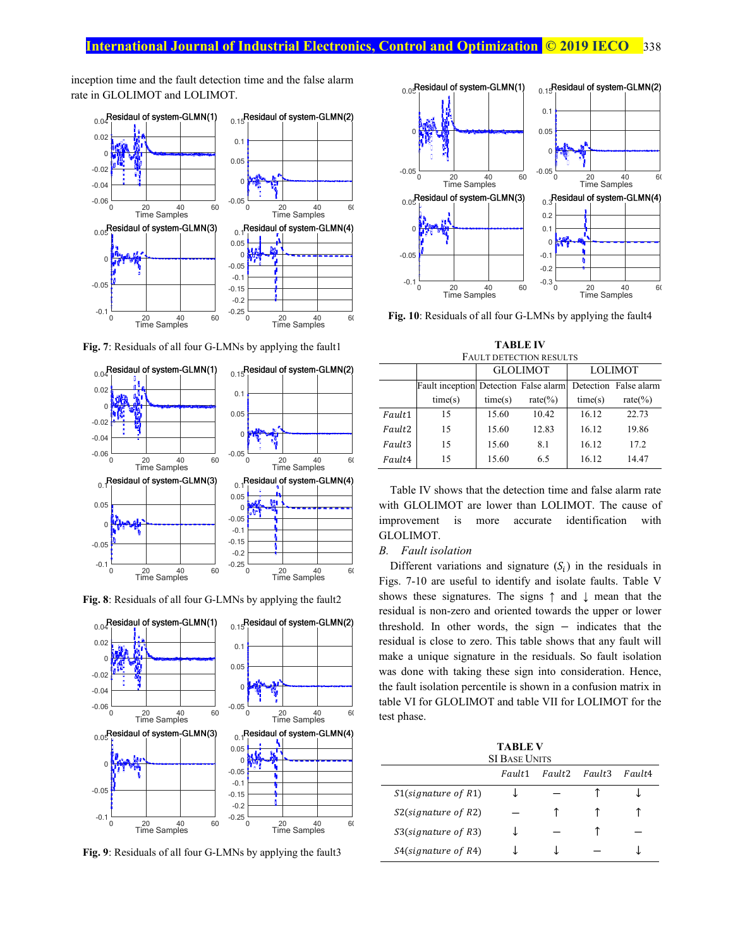## **International Journal of Industrial Electronics, Control and Optimization © 2019 IECO 338**

inception time and the fault detection time and the false alarm rate in GLOLIMOT and LOLIMOT.



**Fig. 7**: Residuals of all four G-LMNs by applying the fault1



**Fig. 8**: Residuals of all four G-LMNs by applying the fault2



**Fig. 9**: Residuals of all four G-LMNs by applying the fault3



**Fig. 10**: Residuals of all four G-LMNs by applying the fault4

**TABLE IV**  FAULT DETECTION RESULTS

|                    |         |                                       | <b>GLOLIMOT</b> | <b>LOLIMOT</b> |                       |  |
|--------------------|---------|---------------------------------------|-----------------|----------------|-----------------------|--|
|                    |         | Fault inception Detection False alarm |                 |                | Detection False alarm |  |
|                    | time(s) | time(s)                               | rate $(\% )$    | time(s)        | rate $(\% )$          |  |
| Fault1             | 15      | 15.60                                 | 10.42           | 16.12          | 22.73                 |  |
| Fault <sub>2</sub> | 15      | 15.60                                 | 12.83           | 16.12          | 19.86                 |  |
| Fault3             | 15      | 15.60                                 | 8.1             | 16.12          | 17.2                  |  |
| Fault4             | 15      | 15.60                                 | 6.5             | 16.12          | 14.47                 |  |

Table IV shows that the detection time and false alarm rate with GLOLIMOT are lower than LOLIMOT. The cause of improvement is more accurate identification with GLOLIMOT.

#### *B. Fault isolation*

Different variations and signature  $(S_i)$  in the residuals in Figs. 7-10 are useful to identify and isolate faults. Table V shows these signatures. The signs ↑ and ↓ mean that the residual is non-zero and oriented towards the upper or lower threshold. In other words, the sign − indicates that the residual is close to zero. This table shows that any fault will make a unique signature in the residuals. So fault isolation was done with taking these sign into consideration. Hence, the fault isolation percentile is shown in a confusion matrix in table VI for GLOLIMOT and table VII for LOLIMOT for the test phase.

| TABLE V<br><b>SI BASE UNITS</b>                  |  |  |  |  |  |  |
|--------------------------------------------------|--|--|--|--|--|--|
| Fault <sub>2</sub><br>Fault3<br>Fault4<br>Fault1 |  |  |  |  |  |  |
| $S1$ (signature of R1)                           |  |  |  |  |  |  |
| $S2$ (signature of R2)                           |  |  |  |  |  |  |
| $S3$ (signature of R3)                           |  |  |  |  |  |  |
| $S4$ (signature of R4)                           |  |  |  |  |  |  |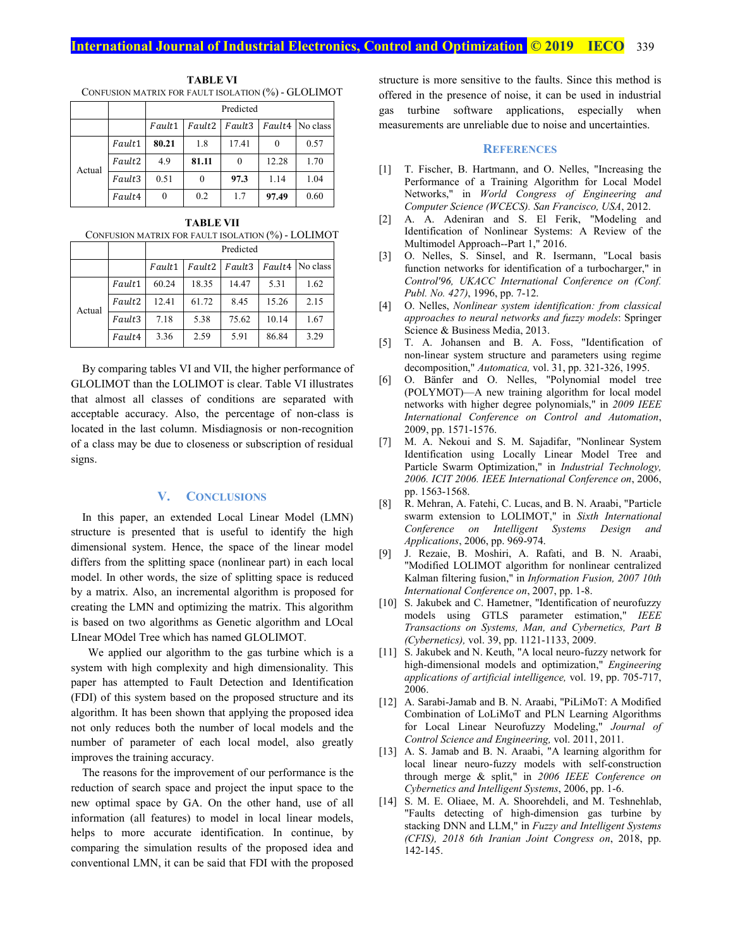## **International Journal of Industrial Electronics, Control and Optimization <b>© 2019** IECO 339

**TABLE VI**  CONFUSION MATRIX FOR FAULT ISOLATION (%) - GLOLIMOT

|        |        | Predicted                                     |       |       |          |      |  |
|--------|--------|-----------------------------------------------|-------|-------|----------|------|--|
|        |        | Fault4 No class<br>Fault2<br>Fault3<br>Fault1 |       |       |          |      |  |
|        | Fault1 | 80.21                                         | 1.8   | 17.41 | $\theta$ | 0.57 |  |
| Actual | Fault2 | 4.9                                           | 81.11 |       | 12.28    | 1.70 |  |
|        | Fault3 | 0.51                                          |       | 97.3  | 1.14     | 1.04 |  |
|        | Fault4 | $\theta$                                      | 0.2   | 1.7   | 97.49    | 0.60 |  |

**TABLE VII**  CONFUSION MATRIX FOR FAULT ISOLATION (%) - LOLIMOT

|        |        | Predicted                                                 |       |       |       |      |  |
|--------|--------|-----------------------------------------------------------|-------|-------|-------|------|--|
|        |        | Fault4 No class<br>Fault <sub>2</sub><br>Fault3<br>Fault1 |       |       |       |      |  |
| Actual | Fault1 | 60.24                                                     | 18.35 | 14.47 | 5.31  | 1.62 |  |
|        | Fault2 | 12.41                                                     | 61.72 | 8.45  | 15.26 | 2.15 |  |
|        | Fault3 | 7.18                                                      | 5.38  | 75.62 | 10.14 | 1.67 |  |
|        | Fault4 | 3.36                                                      | 2.59  | 5.91  | 86.84 | 3.29 |  |

By comparing tables VI and VII, the higher performance of GLOLIMOT than the LOLIMOT is clear. Table VI illustrates that almost all classes of conditions are separated with acceptable accuracy. Also, the percentage of non-class is located in the last column. Misdiagnosis or non-recognition of a class may be due to closeness or subscription of residual signs.

## **V. CONCLUSIONS**

In this paper, an extended Local Linear Model (LMN) structure is presented that is useful to identify the high dimensional system. Hence, the space of the linear model differs from the splitting space (nonlinear part) in each local model. In other words, the size of splitting space is reduced by a matrix. Also, an incremental algorithm is proposed for creating the LMN and optimizing the matrix. This algorithm is based on two algorithms as Genetic algorithm and LOcal LInear MOdel Tree which has named GLOLIMOT.

We applied our algorithm to the gas turbine which is a system with high complexity and high dimensionality. This paper has attempted to Fault Detection and Identification (FDI) of this system based on the proposed structure and its algorithm. It has been shown that applying the proposed idea not only reduces both the number of local models and the number of parameter of each local model, also greatly improves the training accuracy.

The reasons for the improvement of our performance is the reduction of search space and project the input space to the new optimal space by GA. On the other hand, use of all information (all features) to model in local linear models, helps to more accurate identification. In continue, by comparing the simulation results of the proposed idea and conventional LMN, it can be said that FDI with the proposed structure is more sensitive to the faults. Since this method is offered in the presence of noise, it can be used in industrial gas turbine software applications, especially when measurements are unreliable due to noise and uncertainties.

## **REFERENCES**

- [1] T. Fischer, B. Hartmann, and O. Nelles, "Increasing the Performance of a Training Algorithm for Local Model Networks," in *World Congress of Engineering and Computer Science (WCECS). San Francisco, USA*, 2012.
- [2] A. A. Adeniran and S. El Ferik, "Modeling and Identification of Nonlinear Systems: A Review of the Multimodel Approach--Part 1," 2016.
- [3] O. Nelles, S. Sinsel, and R. Isermann, "Local basis function networks for identification of a turbocharger," in *Control'96, UKACC International Conference on (Conf. Publ. No. 427)*, 1996, pp. 7-12.
- [4] O. Nelles, *Nonlinear system identification: from classical approaches to neural networks and fuzzy models*: Springer Science & Business Media, 2013.
- [5] T. A. Johansen and B. A. Foss, "Identification of non-linear system structure and parameters using regime decomposition," *Automatica,* vol. 31, pp. 321-326, 1995.
- [6] O. Bänfer and O. Nelles, "Polynomial model tree (POLYMOT)—A new training algorithm for local model networks with higher degree polynomials," in *2009 IEEE International Conference on Control and Automation*, 2009, pp. 1571-1576.
- [7] M. A. Nekoui and S. M. Sajadifar, "Nonlinear System Identification using Locally Linear Model Tree and Particle Swarm Optimization," in *Industrial Technology, 2006. ICIT 2006. IEEE International Conference on*, 2006, pp. 1563-1568.
- [8] R. Mehran, A. Fatehi, C. Lucas, and B. N. Araabi, "Particle swarm extension to LOLIMOT," in *Sixth International Conference on Intelligent Systems Design and Applications*, 2006, pp. 969-974.
- [9] J. Rezaie, B. Moshiri, A. Rafati, and B. N. Araabi, "Modified LOLIMOT algorithm for nonlinear centralized Kalman filtering fusion," in *Information Fusion, 2007 10th International Conference on*, 2007, pp. 1-8.
- [10] S. Jakubek and C. Hametner, "Identification of neurofuzzy models using GTLS parameter estimation," *IEEE Transactions on Systems, Man, and Cybernetics, Part B (Cybernetics),* vol. 39, pp. 1121-1133, 2009.
- [11] S. Jakubek and N. Keuth, "A local neuro-fuzzy network for high-dimensional models and optimization," *Engineering applications of artificial intelligence,* vol. 19, pp. 705-717, 2006.
- [12] A. Sarabi-Jamab and B. N. Araabi, "PiLiMoT: A Modified Combination of LoLiMoT and PLN Learning Algorithms for Local Linear Neurofuzzy Modeling," *Journal of Control Science and Engineering,* vol. 2011, 2011.
- [13] A. S. Jamab and B. N. Araabi, "A learning algorithm for local linear neuro-fuzzy models with self-construction through merge & split," in *2006 IEEE Conference on Cybernetics and Intelligent Systems*, 2006, pp. 1-6.
- [14] S. M. E. Oliaee, M. A. Shoorehdeli, and M. Teshnehlab, "Faults detecting of high-dimension gas turbine by stacking DNN and LLM," in *Fuzzy and Intelligent Systems (CFIS), 2018 6th Iranian Joint Congress on*, 2018, pp. 142-145.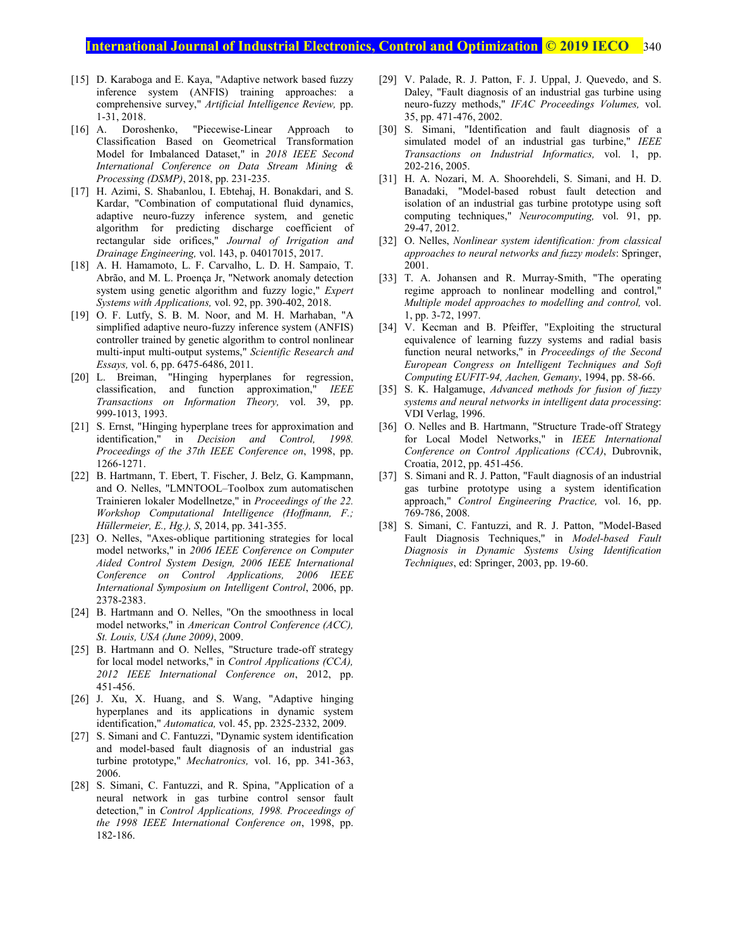## **International Journal of Industrial Electronics, Control and Optimization © 2019 IECO** 340

- [15] D. Karaboga and E. Kaya, "Adaptive network based fuzzy inference system (ANFIS) training approaches: a comprehensive survey," *Artificial Intelligence Review,* pp. 1-31, 2018.
- [16] A. Doroshenko, "Piecewise-Linear Approach to Classification Based on Geometrical Transformation Model for Imbalanced Dataset," in *2018 IEEE Second International Conference on Data Stream Mining & Processing (DSMP)*, 2018, pp. 231-235.
- [17] H. Azimi, S. Shabanlou, I. Ebtehaj, H. Bonakdari, and S. Kardar, "Combination of computational fluid dynamics, adaptive neuro-fuzzy inference system, and genetic algorithm for predicting discharge coefficient of rectangular side orifices," *Journal of Irrigation and Drainage Engineering,* vol. 143, p. 04017015, 2017.
- [18] A. H. Hamamoto, L. F. Carvalho, L. D. H. Sampaio, T. Abrão, and M. L. Proença Jr, "Network anomaly detection system using genetic algorithm and fuzzy logic," *Expert Systems with Applications,* vol. 92, pp. 390-402, 2018.
- [19] O. F. Lutfy, S. B. M. Noor, and M. H. Marhaban, "A simplified adaptive neuro-fuzzy inference system (ANFIS) controller trained by genetic algorithm to control nonlinear multi-input multi-output systems," *Scientific Research and Essays,* vol. 6, pp. 6475-6486, 2011.
- [20] L. Breiman, "Hinging hyperplanes for regression, classification, and function approximation," *IEEE Transactions on Information Theory,* vol. 39, pp. 999-1013, 1993.
- [21] S. Ernst, "Hinging hyperplane trees for approximation and identification," in *Decision and Control, 1998. Proceedings of the 37th IEEE Conference on*, 1998, pp. 1266-1271.
- [22] B. Hartmann, T. Ebert, T. Fischer, J. Belz, G. Kampmann, and O. Nelles, "LMNTOOL–Toolbox zum automatischen Trainieren lokaler Modellnetze," in *Proceedings of the 22. Workshop Computational Intelligence (Hoffmann, F.; Hüllermeier, E., Hg.), S*, 2014, pp. 341-355.
- [23] O. Nelles, "Axes-oblique partitioning strategies for local model networks," in *2006 IEEE Conference on Computer Aided Control System Design, 2006 IEEE International Conference on Control Applications, 2006 IEEE International Symposium on Intelligent Control*, 2006, pp. 2378-2383.
- [24] B. Hartmann and O. Nelles, "On the smoothness in local model networks," in *American Control Conference (ACC), St. Louis, USA (June 2009)*, 2009.
- [25] B. Hartmann and O. Nelles, "Structure trade-off strategy for local model networks," in *Control Applications (CCA), 2012 IEEE International Conference on*, 2012, pp. 451-456.
- [26] J. Xu, X. Huang, and S. Wang, "Adaptive hinging hyperplanes and its applications in dynamic system identification," *Automatica,* vol. 45, pp. 2325-2332, 2009.
- [27] S. Simani and C. Fantuzzi, "Dynamic system identification and model-based fault diagnosis of an industrial gas turbine prototype," *Mechatronics,* vol. 16, pp. 341-363, 2006.
- [28] S. Simani, C. Fantuzzi, and R. Spina, "Application of a neural network in gas turbine control sensor fault detection," in *Control Applications, 1998. Proceedings of the 1998 IEEE International Conference on*, 1998, pp. 182-186.
- [29] V. Palade, R. J. Patton, F. J. Uppal, J. Quevedo, and S. Daley, "Fault diagnosis of an industrial gas turbine using neuro-fuzzy methods," *IFAC Proceedings Volumes,* vol. 35, pp. 471-476, 2002.
- [30] S. Simani, "Identification and fault diagnosis of a simulated model of an industrial gas turbine," *IEEE Transactions on Industrial Informatics,* vol. 1, pp. 202-216, 2005.
- [31] H. A. Nozari, M. A. Shoorehdeli, S. Simani, and H. D. Banadaki, "Model-based robust fault detection and isolation of an industrial gas turbine prototype using soft computing techniques," *Neurocomputing,* vol. 91, pp. 29-47, 2012.
- [32] O. Nelles, *Nonlinear system identification: from classical approaches to neural networks and fuzzy models*: Springer, 2001.
- [33] T. A. Johansen and R. Murray-Smith, "The operating regime approach to nonlinear modelling and control," *Multiple model approaches to modelling and control,* vol. 1, pp. 3-72, 1997.
- [34] V. Kecman and B. Pfeiffer, "Exploiting the structural equivalence of learning fuzzy systems and radial basis function neural networks," in *Proceedings of the Second European Congress on Intelligent Techniques and Soft Computing EUFIT-94, Aachen, Gemany*, 1994, pp. 58-66.
- [35] S. K. Halgamuge, *Advanced methods for fusion of fuzzy systems and neural networks in intelligent data processing*: VDI Verlag, 1996.
- [36] O. Nelles and B. Hartmann, "Structure Trade-off Strategy for Local Model Networks," in *IEEE International Conference on Control Applications (CCA)*, Dubrovnik, Croatia, 2012, pp. 451-456.
- [37] S. Simani and R. J. Patton, "Fault diagnosis of an industrial gas turbine prototype using a system identification approach," *Control Engineering Practice,* vol. 16, pp. 769-786, 2008.
- [38] S. Simani, C. Fantuzzi, and R. J. Patton, "Model-Based Fault Diagnosis Techniques," in *Model-based Fault Diagnosis in Dynamic Systems Using Identification Techniques*, ed: Springer, 2003, pp. 19-60.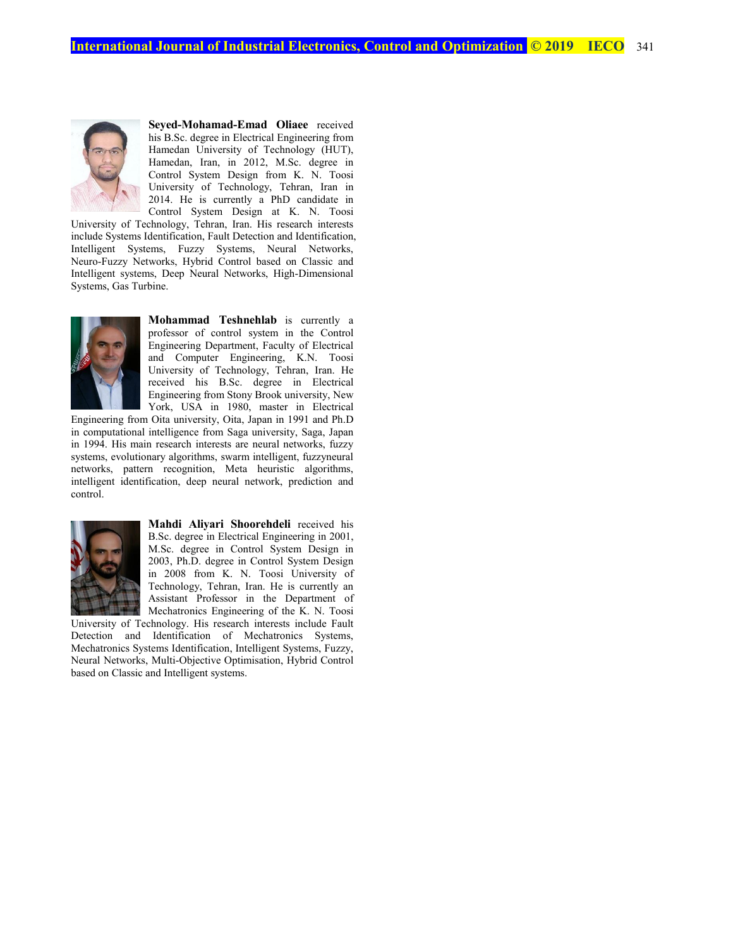

**Seyed-Mohamad-Emad Oliaee** received his B.Sc. degree in Electrical Engineering from Hamedan University of Technology (HUT), Hamedan, Iran, in 2012, M.Sc. degree in Control System Design from K. N. Toosi University of Technology, Tehran, Iran in 2014. He is currently a PhD candidate in Control System Design at K. N. Toosi

University of Technology, Tehran, Iran. His research interests include Systems Identification, Fault Detection and Identification, Intelligent Systems, Fuzzy Systems, Neural Networks, Neuro-Fuzzy Networks, Hybrid Control based on Classic and Intelligent systems, Deep Neural Networks, High-Dimensional Systems, Gas Turbine.



**Mohammad Teshnehlab** is currently a professor of control system in the Control Engineering Department, Faculty of Electrical and Computer Engineering, K.N. Toosi University of Technology, Tehran, Iran. He received his B.Sc. degree in Electrical Engineering from Stony Brook university, New York, USA in 1980, master in Electrical

Engineering from Oita university, Oita, Japan in 1991 and Ph.D in computational intelligence from Saga university, Saga, Japan in 1994. His main research interests are neural networks, fuzzy systems, evolutionary algorithms, swarm intelligent, fuzzyneural networks, pattern recognition, Meta heuristic algorithms, intelligent identification, deep neural network, prediction and control.



**Mahdi Aliyari Shoorehdeli** received his B.Sc. degree in Electrical Engineering in 2001, M.Sc. degree in Control System Design in 2003, Ph.D. degree in Control System Design in 2008 from K. N. Toosi University of Technology, Tehran, Iran. He is currently an Assistant Professor in the Department of Mechatronics Engineering of the K. N. Toosi

University of Technology. His research interests include Fault Detection and Identification of Mechatronics Systems, Mechatronics Systems Identification, Intelligent Systems, Fuzzy, Neural Networks, Multi-Objective Optimisation, Hybrid Control based on Classic and Intelligent systems.